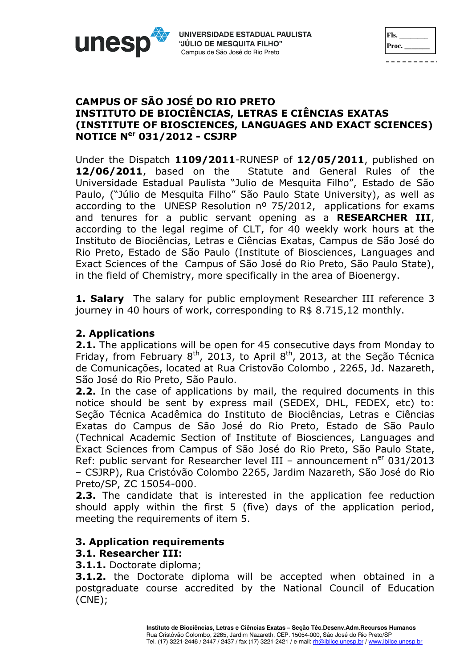| Fls.  |
|-------|
| Proc. |
|       |

## **CAMPUS OF SÃO JOSÉ DO RIO PRETO INSTITUTO DE BIOCIÊNCIAS, LETRAS E CIÊNCIAS EXATAS (INSTITUTE OF BIOSCIENCES, LANGUAGES AND EXACT SCIENCES) NOTICE Ner 031/2012 - CSJRP**

Under the Dispatch **1109/2011**-RUNESP of **12/05/2011**, published on **12/06/2011**, based on the Statute and General Rules of the Universidade Estadual Paulista "Julio de Mesquita Filho", Estado de São Paulo, ("Júlio de Mesquita Filho" São Paulo State University), as well as according to the UNESP Resolution  $n^{\circ}$  75/2012, applications for exams and tenures for a public servant opening as a **RESEARCHER III**, according to the legal regime of CLT, for 40 weekly work hours at the Instituto de Biociências, Letras e Ciências Exatas, Campus de São José do Rio Preto, Estado de São Paulo (Institute of Biosciences, Languages and Exact Sciences of the Campus of São José do Rio Preto, São Paulo State), in the field of Chemistry, more specifically in the area of Bioenergy.

**1. Salary** The salary for public employment Researcher III reference 3 journey in 40 hours of work, corresponding to R\$ 8.715,12 monthly.

# **2. Applications**

unes

**2.1.** The applications will be open for 45 consecutive days from Monday to Friday, from February  $8^{th}$ , 2013, to April  $8^{th}$ , 2013, at the Seção Técnica de Comunicações, located at Rua Cristovão Colombo , 2265, Jd. Nazareth, São José do Rio Preto, São Paulo.

**2.2.** In the case of applications by mail, the required documents in this notice should be sent by express mail (SEDEX, DHL, FEDEX, etc) to: Seção Técnica Acadêmica do Instituto de Biociências, Letras e Ciências Exatas do Campus de São José do Rio Preto, Estado de São Paulo (Technical Academic Section of Institute of Biosciences, Languages and Exact Sciences from Campus of São José do Rio Preto, São Paulo State, Ref: public servant for Researcher level III – announcement  $n^{er}$  031/2013 – CSJRP), Rua Cristóvão Colombo 2265, Jardim Nazareth, São José do Rio Preto/SP, ZC 15054-000.

**2.3.** The candidate that is interested in the application fee reduction should apply within the first 5 (five) days of the application period, meeting the requirements of item 5.

# **3. Application requirements**

# **3.1. Researcher III:**

**3.1.1.** Doctorate diploma;

**3.1.2.** the Doctorate diploma will be accepted when obtained in a postgraduate course accredited by the National Council of Education (CNE);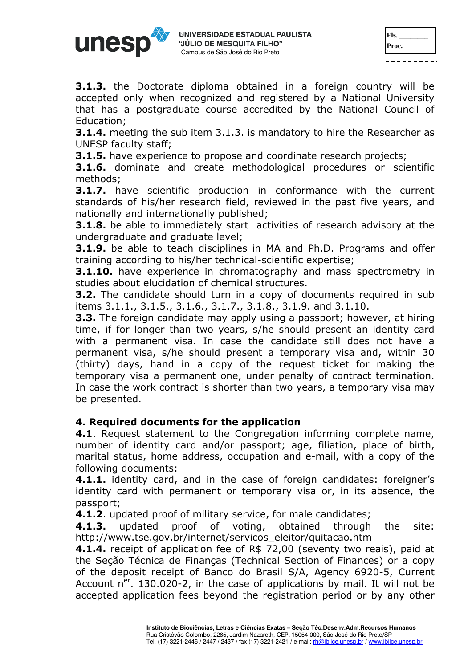

| Fls.  |  |
|-------|--|
| Proc. |  |
|       |  |

**3.1.3.** the Doctorate diploma obtained in a foreign country will be accepted only when recognized and registered by a National University that has a postgraduate course accredited by the National Council of Education;

**3.1.4.** meeting the sub item 3.1.3. is mandatory to hire the Researcher as UNESP faculty staff;

**3.1.5.** have experience to propose and coordinate research projects;

**3.1.6.** dominate and create methodological procedures or scientific methods;

**3.1.7.** have scientific production in conformance with the current standards of his/her research field, reviewed in the past five years, and nationally and internationally published;

**3.1.8.** be able to immediately start activities of research advisory at the undergraduate and graduate level;

**3.1.9.** be able to teach disciplines in MA and Ph.D. Programs and offer training according to his/her technical-scientific expertise;

**3.1.10.** have experience in chromatography and mass spectrometry in studies about elucidation of chemical structures.

**3.2.** The candidate should turn in a copy of documents required in sub items 3.1.1., 3.1.5., 3.1.6., 3.1.7., 3.1.8., 3.1.9. and 3.1.10.

**3.3.** The foreign candidate may apply using a passport; however, at hiring time, if for longer than two years, s/he should present an identity card with a permanent visa. In case the candidate still does not have a permanent visa, s/he should present a temporary visa and, within 30 (thirty) days, hand in a copy of the request ticket for making the temporary visa a permanent one, under penalty of contract termination. In case the work contract is shorter than two years, a temporary visa may be presented.

#### **4. Required documents for the application**

**4.1**. Request statement to the Congregation informing complete name, number of identity card and/or passport; age, filiation, place of birth, marital status, home address, occupation and e-mail, with a copy of the following documents:

**4.1.1.** identity card, and in the case of foreign candidates: foreigner's identity card with permanent or temporary visa or, in its absence, the passport;

**4.1.2**. updated proof of military service, for male candidates;

**4.1.3.** updated proof of voting, obtained through the site: http://www.tse.gov.br/internet/servicos\_eleitor/quitacao.htm

**4.1.4.** receipt of application fee of R\$ 72,00 (seventy two reais), paid at the Seção Técnica de Finanças (Technical Section of Finances) or a copy of the deposit receipt of Banco do Brasil S/A, Agency 6920-5, Current Account  $n^{er}$ . 130.020-2, in the case of applications by mail. It will not be accepted application fees beyond the registration period or by any other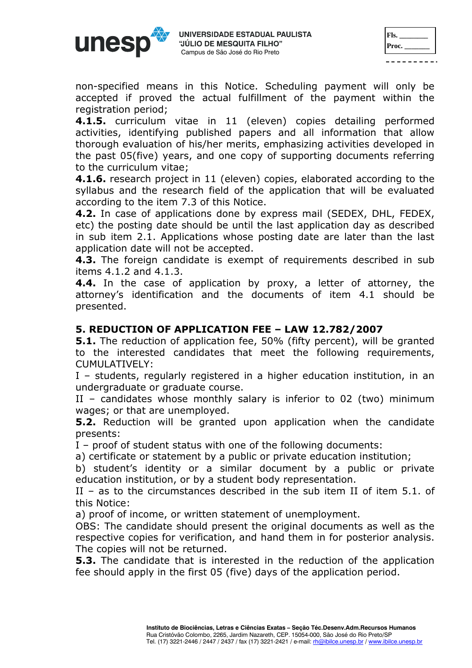unesr

| Fls.  |  |
|-------|--|
| Proc. |  |
|       |  |

non-specified means in this Notice. Scheduling payment will only be accepted if proved the actual fulfillment of the payment within the registration period;

**4.1.5.** curriculum vitae in 11 (eleven) copies detailing performed activities, identifying published papers and all information that allow thorough evaluation of his/her merits, emphasizing activities developed in the past 05(five) years, and one copy of supporting documents referring to the curriculum vitae;

**4.1.6.** research project in 11 (eleven) copies, elaborated according to the syllabus and the research field of the application that will be evaluated according to the item 7.3 of this Notice.

**4.2.** In case of applications done by express mail (SEDEX, DHL, FEDEX, etc) the posting date should be until the last application day as described in sub item 2.1. Applications whose posting date are later than the last application date will not be accepted.

**4.3.** The foreign candidate is exempt of requirements described in sub items 4.1.2 and 4.1.3.

**4.4.** In the case of application by proxy, a letter of attorney, the attorney's identification and the documents of item 4.1 should be presented.

# **5. REDUCTION OF APPLICATION FEE – LAW 12.782/2007**

**5.1.** The reduction of application fee, 50% (fifty percent), will be granted to the interested candidates that meet the following requirements, CUMULATIVELY:

I – students, regularly registered in a higher education institution, in an undergraduate or graduate course.

II – candidates whose monthly salary is inferior to 02 (two) minimum wages; or that are unemployed.

**5.2.** Reduction will be granted upon application when the candidate presents:

I – proof of student status with one of the following documents:

a) certificate or statement by a public or private education institution;

b) student's identity or a similar document by a public or private education institution, or by a student body representation.

II – as to the circumstances described in the sub item II of item 5.1. of this Notice:

a) proof of income, or written statement of unemployment.

OBS: The candidate should present the original documents as well as the respective copies for verification, and hand them in for posterior analysis. The copies will not be returned.

**5.3.** The candidate that is interested in the reduction of the application fee should apply in the first 05 (five) days of the application period.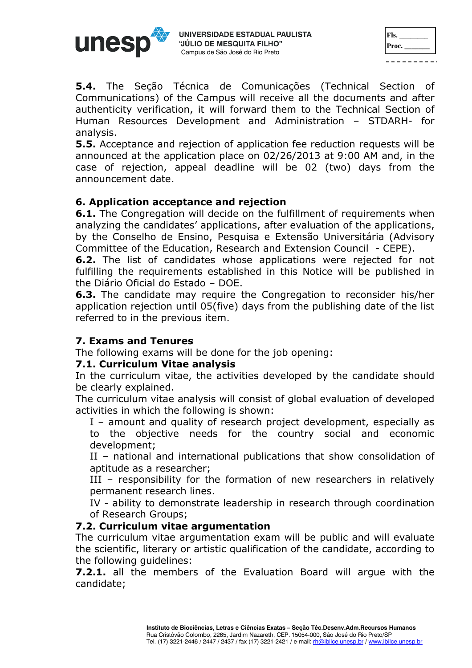

| Fls.  |  |
|-------|--|
| Proc. |  |
|       |  |

**5.4.** The Seção Técnica de Comunicações (Technical Section of Communications) of the Campus will receive all the documents and after authenticity verification, it will forward them to the Technical Section of Human Resources Development and Administration – STDARH- for analysis.

**5.5.** Acceptance and rejection of application fee reduction requests will be announced at the application place on 02/26/2013 at 9:00 AM and, in the case of rejection, appeal deadline will be 02 (two) days from the announcement date.

# **6. Application acceptance and rejection**

**6.1.** The Congregation will decide on the fulfillment of requirements when analyzing the candidates' applications, after evaluation of the applications, by the Conselho de Ensino, Pesquisa e Extensão Universitária (Advisory Committee of the Education, Research and Extension Council - CEPE).

**6.2.** The list of candidates whose applications were rejected for not fulfilling the requirements established in this Notice will be published in the Diário Oficial do Estado – DOE.

**6.3.** The candidate may require the Congregation to reconsider his/her application rejection until 05(five) days from the publishing date of the list referred to in the previous item.

#### **7. Exams and Tenures**

The following exams will be done for the job opening:

#### **7.1. Curriculum Vitae analysis**

In the curriculum vitae, the activities developed by the candidate should be clearly explained.

The curriculum vitae analysis will consist of global evaluation of developed activities in which the following is shown:

I – amount and quality of research project development, especially as to the objective needs for the country social and economic development;

II – national and international publications that show consolidation of aptitude as a researcher;

III – responsibility for the formation of new researchers in relatively permanent research lines.

IV - ability to demonstrate leadership in research through coordination of Research Groups;

#### **7.2. Curriculum vitae argumentation**

The curriculum vitae argumentation exam will be public and will evaluate the scientific, literary or artistic qualification of the candidate, according to the following guidelines:

**7.2.1.** all the members of the Evaluation Board will argue with the candidate;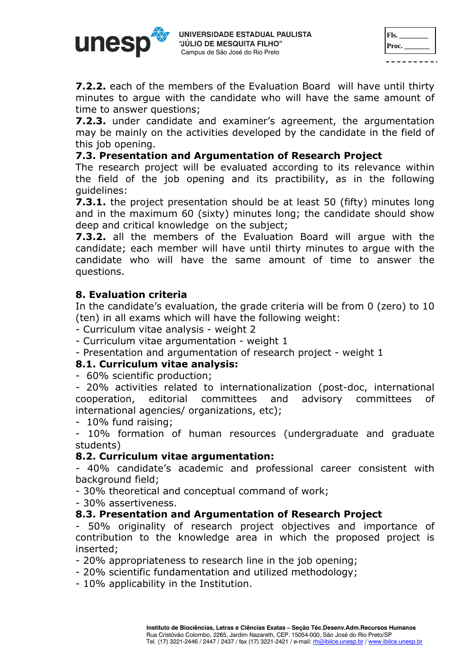

| Fls.  |  |
|-------|--|
| Proc. |  |
|       |  |

**7.2.2.** each of the members of the Evaluation Board will have until thirty minutes to argue with the candidate who will have the same amount of time to answer questions;

**7.2.3.** under candidate and examiner's agreement, the argumentation may be mainly on the activities developed by the candidate in the field of this job opening.

## **7.3. Presentation and Argumentation of Research Project**

The research project will be evaluated according to its relevance within the field of the job opening and its practibility, as in the following guidelines:

**7.3.1.** the project presentation should be at least 50 (fifty) minutes long and in the maximum 60 (sixty) minutes long; the candidate should show deep and critical knowledge on the subject;

**7.3.2.** all the members of the Evaluation Board will argue with the candidate; each member will have until thirty minutes to argue with the candidate who will have the same amount of time to answer the questions.

# **8. Evaluation criteria**

In the candidate's evaluation, the grade criteria will be from 0 (zero) to 10 (ten) in all exams which will have the following weight:

- Curriculum vitae analysis weight 2
- Curriculum vitae argumentation weight 1
- Presentation and argumentation of research project weight 1

#### **8.1. Curriculum vitae analysis:**

- 60% scientific production;

- 20% activities related to internationalization (post-doc, international cooperation, editorial committees and advisory committees of international agencies/ organizations, etc);

- 10% fund raising;

- 10% formation of human resources (undergraduate and graduate students)

#### **8.2. Curriculum vitae argumentation:**

- 40% candidate's academic and professional career consistent with background field;

- 30% theoretical and conceptual command of work;

- 30% assertiveness.

#### **8.3. Presentation and Argumentation of Research Project**

- 50% originality of research project objectives and importance of contribution to the knowledge area in which the proposed project is inserted;

- 20% appropriateness to research line in the job opening;

- 20% scientific fundamentation and utilized methodology;

- 10% applicability in the Institution.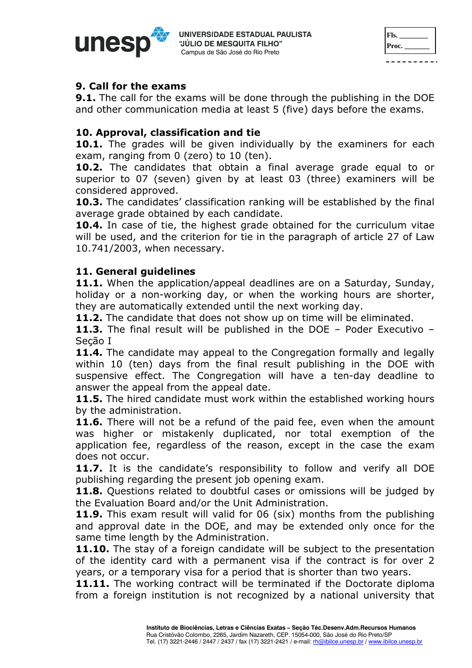

| Fls.  |  |
|-------|--|
| Proc. |  |
|       |  |

#### **9. Call for the exams**

**9.1.** The call for the exams will be done through the publishing in the DOE and other communication media at least 5 (five) days before the exams.

# **10. Approval, classification and tie**

**10.1.** The grades will be given individually by the examiners for each exam, ranging from 0 (zero) to 10 (ten).

**10.2.** The candidates that obtain a final average grade equal to or superior to 07 (seven) given by at least 03 (three) examiners will be considered approved.

**10.3.** The candidates' classification ranking will be established by the final average grade obtained by each candidate.

**10.4.** In case of tie, the highest grade obtained for the curriculum vitae will be used, and the criterion for tie in the paragraph of article 27 of Law 10.741/2003, when necessary.

# **11. General guidelines**

**11.1.** When the application/appeal deadlines are on a Saturday, Sunday, holiday or a non-working day, or when the working hours are shorter, they are automatically extended until the next working day.

**11.2.** The candidate that does not show up on time will be eliminated.

**11.3.** The final result will be published in the DOE – Poder Executivo – Seção I

11.4. The candidate may appeal to the Congregation formally and legally within 10 (ten) days from the final result publishing in the DOE with suspensive effect. The Congregation will have a ten-day deadline to answer the appeal from the appeal date.

**11.5.** The hired candidate must work within the established working hours by the administration.

**11.6.** There will not be a refund of the paid fee, even when the amount was higher or mistakenly duplicated, nor total exemption of the application fee, regardless of the reason, except in the case the exam does not occur.

**11.7.** It is the candidate's responsibility to follow and verify all DOE publishing regarding the present job opening exam.

**11.8.** Questions related to doubtful cases or omissions will be judged by the Evaluation Board and/or the Unit Administration.

**11.9.** This exam result will valid for 06 (six) months from the publishing and approval date in the DOE, and may be extended only once for the same time length by the Administration.

**11.10.** The stay of a foreign candidate will be subject to the presentation of the identity card with a permanent visa if the contract is for over 2 years, or a temporary visa for a period that is shorter than two years.

**11.11.** The working contract will be terminated if the Doctorate diploma from a foreign institution is not recognized by a national university that